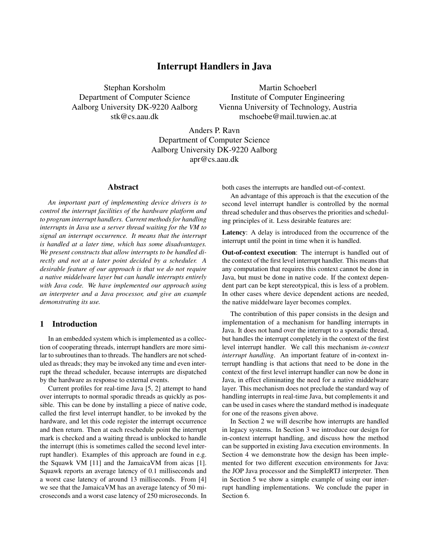# Interrupt Handlers in Java

Stephan Korsholm Department of Computer Science Aalborg University DK-9220 Aalborg stk@cs.aau.dk

Martin Schoeberl Institute of Computer Engineering Vienna University of Technology, Austria mschoebe@mail.tuwien.ac.at

Anders P. Ravn Department of Computer Science Aalborg University DK-9220 Aalborg apr@cs.aau.dk

# Abstract

*An important part of implementing device drivers is to control the interrupt facilities of the hardware platform and to program interrupt handlers. Current methods for handling interrupts in Java use a server thread waiting for the VM to signal an interrupt occurrence. It means that the interrupt is handled at a later time, which has some disadvantages. We present constructs that allow interrupts to be handled directly and not at a later point decided by a scheduler. A desirable feature of our approach is that we do not require a native middelware layer but can handle interrupts entirely with Java code. We have implemented our approach using an interpreter and a Java processor, and give an example demonstrating its use.*

# 1 Introduction

In an embedded system which is implemented as a collection of cooperating threads, interrupt handlers are more similar to subroutines than to threads. The handlers are not scheduled as threads; they may be invoked any time and even interrupt the thread scheduler, because interrupts are dispatched by the hardware as response to external events.

Current profiles for real-time Java [5, 2] attempt to hand over interrupts to normal sporadic threads as quickly as possible. This can be done by installing a piece of native code, called the first level interrupt handler, to be invoked by the hardware, and let this code register the interrupt occurrence and then return. Then at each reschedule point the interrupt mark is checked and a waiting thread is unblocked to handle the interrupt (this is sometimes called the second level interrupt handler). Examples of this approach are found in e.g. the Squawk VM [11] and the JamaicaVM from aicas [1]. Squawk reports an average latency of 0.1 milliseconds and a worst case latency of around 13 milliseconds. From [4] we see that the JamaicaVM has an average latency of 50 microseconds and a worst case latency of 250 microseconds. In both cases the interrupts are handled out-of-context.

An advantage of this approach is that the execution of the second level interrupt handler is controlled by the normal thread scheduler and thus observes the priorities and scheduling principles of it. Less desirable features are:

Latency: A delay is introduced from the occurrence of the interrupt until the point in time when it is handled.

Out-of-context execution: The interrupt is handled out of the context of the first level interrupt handler. This means that any computation that requires this context cannot be done in Java, but must be done in native code. If the context dependent part can be kept stereotypical, this is less of a problem. In other cases where device dependent actions are needed, the native middelware layer becomes complex.

The contribution of this paper consists in the design and implementation of a mechanism for handling interrupts in Java. It does not hand over the interrupt to a sporadic thread, but handles the interrupt completely in the context of the first level interrupt handler. We call this mechanism *in-context interrupt handling*. An important feature of in-context interrupt handling is that actions that need to be done in the context of the first level interrupt handler can now be done in Java, in effect eliminating the need for a native middelware layer. This mechanism does not preclude the standard way of handling interrupts in real-time Java, but complements it and can be used in cases where the standard method is inadequate for one of the reasons given above.

In Section 2 we will describe how interrupts are handled in legacy systems. In Section 3 we introduce our design for in-context interrupt handling, and discuss how the method can be supported in existing Java execution environments. In Section 4 we demonstrate how the design has been implemented for two different execution environments for Java: the JOP Java processor and the SimpleRTJ interpreter. Then in Section 5 we show a simple example of using our interrupt handling implementations. We conclude the paper in Section 6.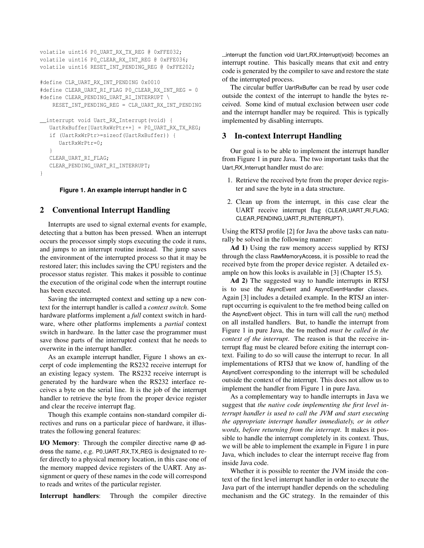```
volatile uint16 P0_UART_RX_TX_REG @ 0xFFE032;
volatile uint16 P0_CLEAR_RX_INT_REG @ 0xFFE036;
volatile uint16 RESET_INT_PENDING_REG @ 0xFFE202;
#define CLR_UART_RX_INT_PENDING 0x0010
#define CLEAR_UART_RI_FLAG P0_CLEAR_RX_INT_REG = 0
#define CLEAR_PENDING_UART_RI_INTERRUPT \
    RESET_INT_PENDING_REG = CLR_UART_RX_INT_PENDING
__interrupt void Uart_RX_Interrupt(void) {
   UartRxBuffer[UartRxWrPtr++] = P0_UART_RX_TX_REG;
   if (UartRxWrPtr>=sizeof(UartRxBuffer)) {
      UartRxWrPtr=0;
   }
  CLEAR_UART_RI_FLAG;
```

```
}
```
#### **Figure 1. An example interrupt handler in C**

# 2 Conventional Interrupt Handling

CLEAR\_PENDING\_UART\_RI\_INTERRUPT;

Interrupts are used to signal external events for example, detecting that a button has been pressed. When an interrupt occurs the processor simply stops executing the code it runs, and jumps to an interrupt routine instead. The jump saves the environment of the interrupted process so that it may be restored later; this includes saving the CPU registers and the processor status register. This makes it possible to continue the execution of the original code when the interrupt routine has been executed.

Saving the interrupted context and setting up a new context for the interrupt handler is called a *context switch*. Some hardware platforms implement a *full* context switch in hardware, where other platforms implements a *partial* context switch in hardware. In the latter case the programmer must save those parts of the interrupted context that he needs to overwrite in the interrupt handler.

As an example interrupt handler, Figure 1 shows an excerpt of code implementing the RS232 receive interrupt for an existing legacy system. The RS232 receive interrupt is generated by the hardware when the RS232 interface receives a byte on the serial line. It is the job of the interrupt handler to retrieve the byte from the proper device register and clear the receive interrupt flag.

Though this example contains non-standard compiler directives and runs on a particular piece of hardware, it illustrates the following general features:

I/O Memory: Through the compiler directive name @ address the name, e.g. P0 UART RX TX REG is designated to refer directly to a physical memory location, in this case one of the memory mapped device registers of the UART. Any assignment or query of these names in the code will correspond to reads and writes of the particular register.

Interrupt handlers: Through the compiler directive

interrupt the function void Uart RX Interrupt(void) becomes an interrupt routine. This basically means that exit and entry code is generated by the compiler to save and restore the state of the interrupted process.

The circular buffer UartRxBuffer can be read by user code outside the context of the interrupt to handle the bytes received. Some kind of mutual exclusion between user code and the interrupt handler may be required. This is typically implemented by disabling interrupts.

# 3 In-context Interrupt Handling

Our goal is to be able to implement the interrupt handler from Figure 1 in pure Java. The two important tasks that the Uart RX Interrupt handler must do are:

- 1. Retrieve the received byte from the proper device register and save the byte in a data structure.
- 2. Clean up from the interrupt, in this case clear the UART receive interrupt flag (CLEAR\_UART\_RI\_FLAG; CLEAR\_PENDING\_UART\_RI\_INTERRUPT).

Using the RTSJ profile [2] for Java the above tasks can naturally be solved in the following manner:

Ad 1) Using the raw memory access supplied by RTSJ through the class RawMemoryAccess, it is possible to read the received byte from the proper device register. A detailed example on how this looks is available in [3] (Chapter 15.5).

Ad 2) The suggested way to handle interrupts in RTSJ is to use the AsyncEvent and AsyncEventHandler classes. Again [3] includes a detailed example. In the RTSJ an interrupt occurring is equivalent to the fire method being called on the AsyncEvent object. This in turn will call the run() method on all installed handlers. But, to handle the interrupt from Figure 1 in pure Java, the fire method *must be called in the context of the interrupt*. The reason is that the receive interrupt flag must be cleared before exiting the interrupt context. Failing to do so will cause the interrupt to recur. In all implementations of RTSJ that we know of, handling of the AsyncEvent corresponding to the interrupt will be scheduled outside the context of the interrupt. This does not allow us to implement the handler from Figure 1 in pure Java.

As a complementary way to handle interrupts in Java we suggest that *the native code implementing the first level interrupt handler is used to call the JVM and start executing the appropriate interrupt handler immediately, or in other words, before returning from the interrupt*. It makes it possible to handle the interrupt completely in its context. Thus, we will be able to implement the example in Figure 1 in pure Java, which includes to clear the interrupt receive flag from inside Java code.

Whether it is possible to reenter the JVM inside the context of the first level interrupt handler in order to execute the Java part of the interrupt handler depends on the scheduling mechanism and the GC strategy. In the remainder of this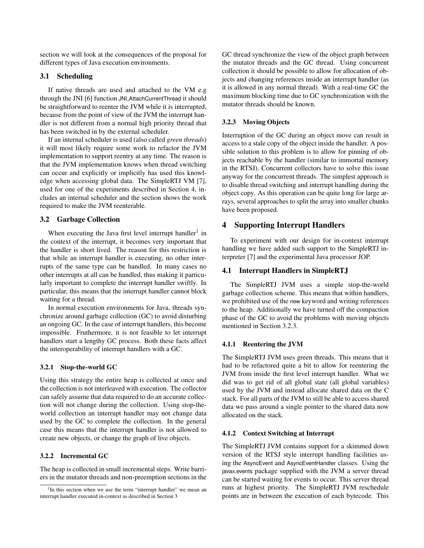section we will look at the consequences of the proposal for different types of Java execution environments.

# 3.1 Scheduling

If native threads are used and attached to the VM e.g through the JNI [6] function JNI AttachCurrentThread it should be straightforward to reenter the JVM while it is interrupted, because from the point of view of the JVM the interrupt handler is not different from a normal high priority thread that has been switched in by the external scheduler.

If an internal scheduler is used (also called *green threads*) it will most likely require some work to refactor the JVM implementation to support reentry at any time. The reason is that the JVM implementation knows when thread switching can occur and explicitly or implicitly has used this knowledge when accessing global data. The SimpleRTJ VM [7], used for one of the experiments described in Section 4, includes an internal scheduler and the section shows the work required to make the JVM reenterable.

# 3.2 Garbage Collection

When executing the Java first level interrupt handler<sup>1</sup> in the context of the interrupt, it becomes very important that the handler is short lived. The reason for this restriction is that while an interrupt handler is executing, no other interrupts of the same type can be handled. In many cases no other interrupts at all can be handled, thus making it particularly important to complete the interrupt handler swiftly. In particular, this means that the interrupt handler cannot block waiting for a thread.

In normal execution environments for Java, threads synchronize around garbage collection (GC) to avoid disturbing an ongoing GC. In the case of interrupt handlers, this become impossible. Fruthermore, it is not feasible to let interrupt handlers start a lengthy GC process. Both these facts affect the interoperability of interrupt handlers with a GC.

### 3.2.1 Stop-the-world GC

Using this strategy the entire heap is collected at once and the collection is not interleaved with execution. The collector can safely assume that data required to do an accurate collection will not change during the collection. Using stop-theworld collection an interrupt handler may not change data used by the GC to complete the collection. In the general case this means that the interrupt handler is not allowed to create new objects, or change the graph of live objects.

# 3.2.2 Incremental GC

The heap is collected in small incremental steps. Write barriers in the mutator threads and non-preemption sections in the GC thread synchronize the view of the object graph between the mutator threads and the GC thread. Using concurrent collection it should be possible to allow for allocation of objects and changing references inside an interrupt handler (as it is allowed in any normal thread). With a real-time GC the maximum blocking time due to GC synchronization with the mutator threads should be known.

## 3.2.3 Moving Objects

Interruption of the GC during an object move can result in access to a stale copy of the object inside the handler. A possible solution to this problem is to allow for pinning of objects reachable by the handler (similar to immortal memory in the RTSJ). Concurrent collectors have to solve this issue anyway for the concurrent threads. The simplest approach is to disable thread switching and interrupt handling during the object copy. As this operation can be quite long for large arrays, several approaches to split the array into smaller chunks have been proposed.

# 4 Supporting Interrupt Handlers

To experiment with our design for in-context interrupt handling we have added such support to the SimpleRTJ interpreter [7] and the experimental Java processor JOP.

# 4.1 Interrupt Handlers in SimpleRTJ

The SimpleRTJ JVM uses a simple stop-the-world garbage collection scheme. This means that within handlers, we prohibited use of the new keyword and writing references to the heap. Additionally we have turned off the compaction phase of the GC to avoid the problems with moving objects mentioned in Section 3.2.3.

#### 4.1.1 Reentering the JVM

The SimpleRTJ JVM uses green threads. This means that it had to be refactored quite a bit to allow for reentering the JVM from inside the first level interrupt handler. What we did was to get rid of all global state (all global variables) used by the JVM and instead allocate shared data on the C stack. For all parts of the JVM to still be able to access shared data we pass around a single pointer to the shared data now allocated on the stack.

# 4.1.2 Context Switching at Interrupt

The SimpleRTJ JVM contains support for a skimmed down version of the RTSJ style interrupt handling facilities using the AsyncEvent and AsyncEventHandler classes. Using the javax.events package supplied with the JVM a server thread can be started waiting for events to occur. This server thread runs at highest priority. The SimpleRTJ JVM reschedule points are in between the execution of each bytecode. This

<sup>&</sup>lt;sup>1</sup>In this section when we use the term "interrupt handler" we mean an interrupt handler executed in-context as described in Section 3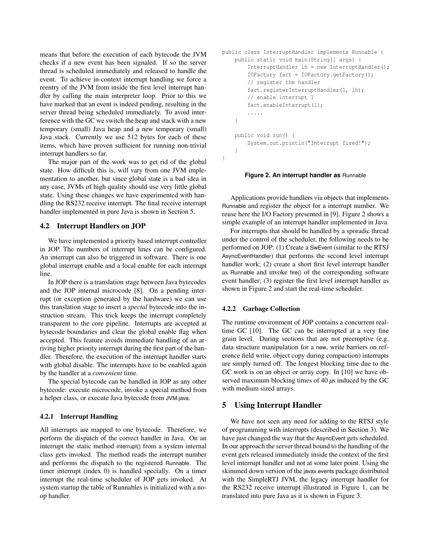means that before the execution of each bytecode the JVM checks if a new event has been signaled. If so the server thread is scheduled immediately and released to handle the event. To achieve in-context interrupt handling we force a reentry of the JVM from inside the first level interrupt handler by calling the main interpreter loop. Prior to this we have marked that an event is indeed pending, resulting in the server thread being scheduled immediately. To avoid interference with the GC we switch the heap and stack with a new temporary (small) Java heap and a new temporary (small) Java stack. Currently we use 512 bytes for each of these items, which have proven sufficient for running non-trivial interrupt handlers so far.

The major part of the work was to get rid of the global state. How difficult this is, will vary from one JVM implementation to another, but since global state is a bad idea in any case, JVMs of high quality should use very little global state. Using these changes we have experimented with handling the RS232 receive interrupt. The final receive interrupt handler implemented in pure Java is shown in Section 5.

# 4.2 Interrupt Handlers on JOP

We have implemented a priority based interrupt controller in JOP. The numbers of interrupt lines can be configured. An interrupt can also be triggered in software. There is one global interrupt enable and a local enable for each interrupt line.

In JOP there is a translation stage between Java bytecodes and the JOP internal microcode [8]. On a pending interrupt (or exception generated by the hardware) we can use this translation stage to insert a *special* bytecode into the instruction stream. This trick keeps the interrupt completely transparent to the core pipeline. Interrupts are accepted at bytecode boundaries and clear the global enable flag when accepted. This feature avoids immediate handling of an arriving higher priority interrupt during the first part of the handler. Therefore, the execution of the interrupt handler starts with global disable. The interrupts have to be enabled again by the handler at a *convenient* time.

The special bytecode can be handled in JOP as any other bytecode: execute microcode, invoke a special method from a helper class, or execute Java bytecode from JVM.java.

### 4.2.1 Interrupt Handling

All interrupts are mapped to one bytecode. Therefore, we perform the dispatch of the correct handler in Java. On an interrupt the static method interrupt() from a system internal class gets invoked. The method reads the interrupt number and performs the dispatch to the registered Runnable. The timer interrupt (index 0) is handled specially. On a timer interrupt the real-time scheduler of JOP gets invoked. At system startup the table of Runnables is initialized with a noop handler.

```
public class InterruptHandler implements Runnable {
    public static void main(String[] args) {
        InterruptHandler ih = new InterruptHandler();
        IOFactory fact = IOFactory.getFactory();
        // register the handler
        fact.registerInterruptHandler(1, ih);
        // enable interrupt 1
        fact.enableInterrupt(1);
        .....
    }
    public void run() {
        System.out.println("Interrupt fired!");
    }
}
```
#### **Figure 2. An interrupt handler as** Runnable

Applications provide handlers via objects that implements Runnable and register the object for a interrupt number. We reuse here the I/O Factory presented in [9]. Figure 2 shows a simple example of an interrupt handler implemented in Java.

For interrupts that should be handled by a sporadic thread under the control of the scheduler, the following needs to be performed on JOP: (1) Create a SwEvent (similar to the RTSJ AsyncEventHandler) that performs the second level interrupt handler work; (2) create a short first level interrupt handler as Runnable and invoke fire() of the corresponding software event handler; (3) register the first level interrupt handler as shown in Figure 2 and start the real-time scheduler.

#### 4.2.2 Garbage Collection

The runtime environment of JOP contains a concurrent realtime GC [10]. The GC can be interrupted at a very fine grain level. During sections that are not preemptive (e.g. data structure manipulation for a new, write barriers on reference field write, object copy during compaction) interrupts are simply turned off. The longest blocking time due to the GC work is on an object or array copy. In [10] we have observed maximum blocking times of 40 *µ*s induced by the GC with medium sized arrays.

# 5 Using Interrupt Handler

We have not seen any need for adding to the RTSJ style of programming with interrupts (described in Section 3). We have just changed the way that the AsyncEvent gets scheduled. In our approach the server thread bound to the handling of the event gets released immediately inside the context of the first level interrupt handler and not at some later point. Using the skimmed down version of the javax.events package distributed with the SimpleRTJ JVM, the legacy interrupt handler for the RS232 receive interrupt illustrated in Figure 1, can be translated into pure Java as it is shown in Figure 3.